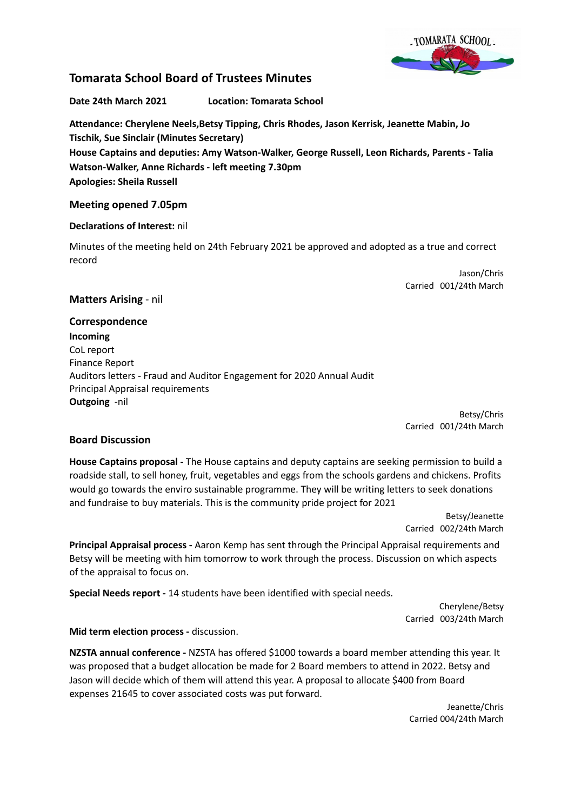

# **Tomarata School Board of Trustees Minutes**

**Date 24th March 2021 Location: Tomarata School**

**Attendance: Cherylene Neels,Betsy Tipping, Chris Rhodes, Jason Kerrisk, Jeanette Mabin, Jo Tischik, Sue Sinclair (Minutes Secretary) House Captains and deputies: Amy Watson-Walker, George Russell, Leon Richards, Parents - Talia Watson-Walker, Anne Richards - left meeting 7.30pm Apologies: Sheila Russell**

## **Meeting opened 7.05pm**

## **Declarations of Interest:** nil

Minutes of the meeting held on 24th February 2021 be approved and adopted as a true and correct record

> Jason/Chris Carried 001/24th March

# **Matters Arising** - nil

**Correspondence Incoming** CoL report Finance Report Auditors letters - Fraud and Auditor Engagement for 2020 Annual Audit Principal Appraisal requirements **Outgoing** -nil

Betsy/Chris Carried 001/24th March

# **Board Discussion**

**House Captains proposal -** The House captains and deputy captains are seeking permission to build a roadside stall, to sell honey, fruit, vegetables and eggs from the schools gardens and chickens. Profits would go towards the enviro sustainable programme. They will be writing letters to seek donations and fundraise to buy materials. This is the community pride project for 2021

> Betsy/Jeanette Carried 002/24th March

**Principal Appraisal process -** Aaron Kemp has sent through the Principal Appraisal requirements and Betsy will be meeting with him tomorrow to work through the process. Discussion on which aspects of the appraisal to focus on.

**Special Needs report -** 14 students have been identified with special needs.

Cherylene/Betsy Carried 003/24th March

**Mid term election process -** discussion.

**NZSTA annual conference -** NZSTA has offered \$1000 towards a board member attending this year. It was proposed that a budget allocation be made for 2 Board members to attend in 2022. Betsy and Jason will decide which of them will attend this year. A proposal to allocate \$400 from Board expenses 21645 to cover associated costs was put forward.

> Jeanette/Chris Carried 004/24th March